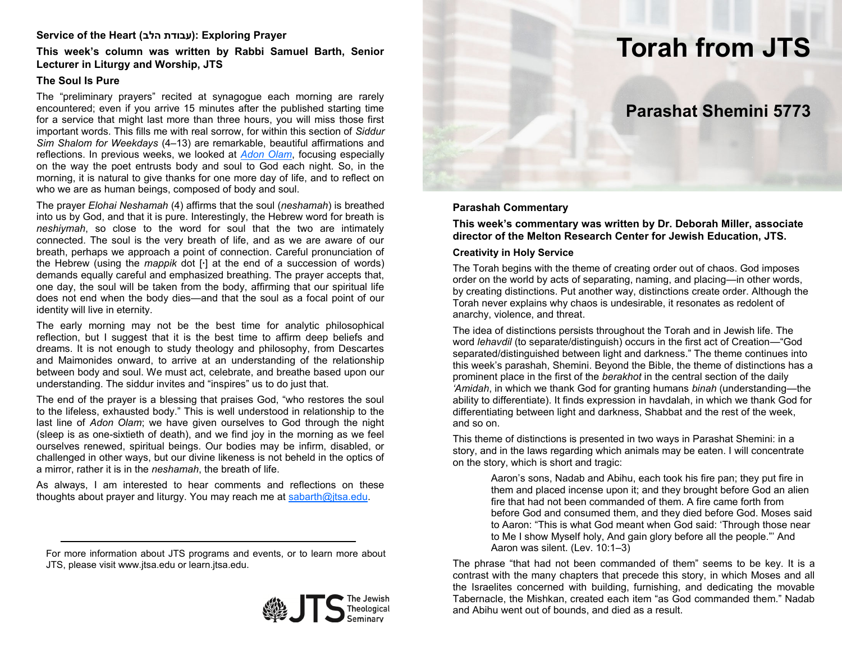#### **Service of the Heart (הלב עבודת(: Exploring Prayer**

## **This week's column was written by Rabbi Samuel Barth, Senior Lecturer in Liturgy and Worship, JTS**

## **The Soul Is Pure**

The "preliminary prayers" recited at synagogue each morning are rarely encountered; even if you arrive 15 minutes after the published starting time for a service that might last more than three hours, you will miss those first important words. This fills me with real sorrow, for within this section of *Siddur Sim Shalom for Weekdays* (4–13) are remarkable, beautiful affirmations and reflections. In previous weeks, we looked at *[Adon Olam](http://learn.jtsa.edu/content/commentary/ki-tissa/5773/%E2%80%9C-god%E2%80%99s-hand-i-place-my-soul%E2%80%9D-part-1)*, focusing especially on the way the poet entrusts body and soul to God each night. So, in the morning, it is natural to give thanks for one more day of life, and to reflect on who we are as human beings, composed of body and soul.

The prayer *Elohai Neshamah* (4) affirms that the soul (*neshamah*) is breathed into us by God, and that it is pure. Interestingly, the Hebrew word for breath is *neshiymah*, so close to the word for soul that the two are intimately connected. The soul is the very breath of life, and as we are aware of our breath, perhaps we approach a point of connection. Careful pronunciation of the Hebrew (using the *mappik* dot [**∙**] at the end of a succession of words) demands equally careful and emphasized breathing. The prayer accepts that, one day, the soul will be taken from the body, affirming that our spiritual life does not end when the body dies—and that the soul as a focal point of our identity will live in eternity.

The early morning may not be the best time for analytic philosophical reflection, but I suggest that it is the best time to affirm deep beliefs and dreams. It is not enough to study theology and philosophy, from Descartes and Maimonides onward, to arrive at an understanding of the relationship between body and soul. We must act, celebrate, and breathe based upon our understanding. The siddur invites and "inspires" us to do just that.

The end of the prayer is a blessing that praises God, "who restores the soul to the lifeless, exhausted body." This is well understood in relationship to the last line of *Adon Olam*; we have given ourselves to God through the night (sleep is as one-sixtieth of death), and we find joy in the morning as we feel ourselves renewed, spiritual beings. Our bodies may be infirm, disabled, or challenged in other ways, but our divine likeness is not beheld in the optics of a mirror, rather it is in the *neshamah*, the breath of life.

As always, I am interested to hear comments and reflections on these thoughts about prayer and liturgy. You may reach me at [sabarth@jtsa.edu.](mailto:sabarth@jtsa.edu)

For more information about JTS programs and events, or to learn more about JTS, please visit www.jtsa.edu or learn.jtsa.edu.



# **Torah from JTS**

# **Parashat Shemini 5773**

#### **Parashah Commentary**

**This week's commentary was written by Dr. Deborah Miller, associate director of the Melton Research Center for Jewish Education, JTS.**

#### **Creativity in Holy Service**

The Torah begins with the theme of creating order out of chaos. God imposes order on the world by acts of separating, naming, and placing—in other words, by creating distinctions. Put another way, distinctions create order. Although the Torah never explains why chaos is undesirable, it resonates as redolent of anarchy, violence, and threat.

The idea of distinctions persists throughout the Torah and in Jewish life. The word *lehavdil* (to separate/distinguish) occurs in the first act of Creation—"God separated/distinguished between light and darkness." The theme continues into this week's parashah, Shemini. Beyond the Bible, the theme of distinctions has a prominent place in the first of the *berakhot* in the central section of the daily *'Amidah*, in which we thank God for granting humans *binah* (understanding—the ability to differentiate). It finds expression in havdalah, in which we thank God for differentiating between light and darkness, Shabbat and the rest of the week, and so on.

This theme of distinctions is presented in two ways in Parashat Shemini: in a story, and in the laws regarding which animals may be eaten. I will concentrate on the story, which is short and tragic:

> Aaron's sons, Nadab and Abihu, each took his fire pan; they put fire in them and placed incense upon it; and they brought before God an alien fire that had not been commanded of them. A fire came forth from before God and consumed them, and they died before God. Moses said to Aaron: "This is what God meant when God said: 'Through those near to Me I show Myself holy, And gain glory before all the people."' And Aaron was silent. (Lev. 10:1–3)

The phrase "that had not been commanded of them" seems to be key. It is a contrast with the many chapters that precede this story, in which Moses and all the Israelites concerned with building, furnishing, and dedicating the movable Tabernacle, the Mishkan, created each item "as God commanded them." Nadab and Abihu went out of bounds, and died as a result.